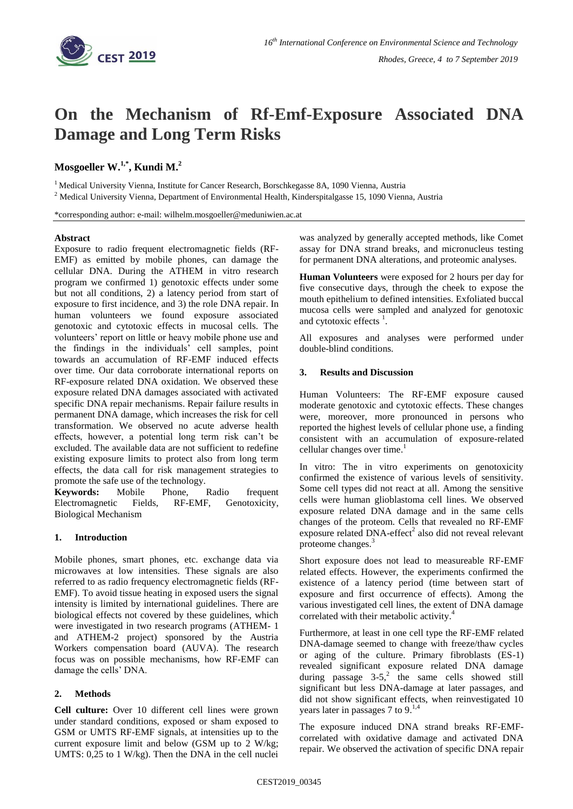

# **On the Mechanism of Rf-Emf-Exposure Associated DNA Damage and Long Term Risks**

## **Mosgoeller W.1,\* , Kundi M. 2**

<sup>1</sup> Medical University Vienna, Institute for Cancer Research, Borschkegasse 8A, 1090 Vienna, Austria

<sup>2</sup> Medical University Vienna, Department of Environmental Health, Kinderspitalgasse 15, 1090 Vienna, Austria

\*corresponding author: e-mail: wilhelm.mosgoeller@meduniwien.ac.at

#### **Abstract**

Exposure to radio frequent electromagnetic fields (RF-EMF) as emitted by mobile phones, can damage the cellular DNA. During the ATHEM in vitro research program we confirmed 1) genotoxic effects under some but not all conditions, 2) a latency period from start of exposure to first incidence, and 3) the role DNA repair. In human volunteers we found exposure associated genotoxic and cytotoxic effects in mucosal cells. The volunteers' report on little or heavy mobile phone use and the findings in the individuals' cell samples, point towards an accumulation of RF-EMF induced effects over time. Our data corroborate international reports on RF-exposure related DNA oxidation. We observed these exposure related DNA damages associated with activated specific DNA repair mechanisms. Repair failure results in permanent DNA damage, which increases the risk for cell transformation. We observed no acute adverse health effects, however, a potential long term risk can't be excluded. The available data are not sufficient to redefine existing exposure limits to protect also from long term effects, the data call for risk management strategies to promote the safe use of the technology.

**Keywords:** Mobile Phone, Radio frequent Electromagnetic Fields, RF-EMF, Genotoxicity, Biological Mechanism

### **1. Introduction**

Mobile phones, smart phones, etc. exchange data via microwaves at low intensities. These signals are also referred to as radio frequency electromagnetic fields (RF-EMF). To avoid tissue heating in exposed users the signal intensity is limited by international guidelines. There are biological effects not covered by these guidelines, which were investigated in two research programs (ATHEM- 1 and ATHEM-2 project) sponsored by the Austria Workers compensation board (AUVA). The research focus was on possible mechanisms, how RF-EMF can damage the cells' DNA.

### **2. Methods**

**Cell culture:** Over 10 different cell lines were grown under standard conditions, exposed or sham exposed to GSM or UMTS RF-EMF signals, at intensities up to the current exposure limit and below (GSM up to 2 W/kg; UMTS: 0,25 to 1 W/kg). Then the DNA in the cell nuclei

was analyzed by generally accepted methods, like Comet assay for DNA strand breaks, and micronucleus testing for permanent DNA alterations, and proteomic analyses.

**Human Volunteers** were exposed for 2 hours per day for five consecutive days, through the cheek to expose the mouth epithelium to defined intensities. Exfoliated buccal mucosa cells were sampled and analyzed for genotoxic and cytotoxic effects $<sup>1</sup>$ .</sup>

All exposures and analyses were performed under double-blind conditions.

### **3. Results and Discussion**

Human Volunteers: The RF-EMF exposure caused moderate genotoxic and cytotoxic effects. These changes were, moreover, more pronounced in persons who reported the highest levels of cellular phone use, a finding consistent with an accumulation of exposure-related cellular changes over time. 1

In vitro: The in vitro experiments on genotoxicity confirmed the existence of various levels of sensitivity. Some cell types did not react at all. Among the sensitive cells were human glioblastoma cell lines. We observed exposure related DNA damage and in the same cells changes of the proteom. Cells that revealed no RF-EMF exposure related DNA-effect<sup>2</sup> also did not reveal relevant proteome changes. 3

Short exposure does not lead to measureable RF-EMF related effects. However, the experiments confirmed the existence of a latency period (time between start of exposure and first occurrence of effects). Among the various investigated cell lines, the extent of DNA damage correlated with their metabolic activity. 4

Furthermore, at least in one cell type the RF-EMF related DNA-damage seemed to change with freeze/thaw cycles or aging of the culture. Primary fibroblasts (ES-1) revealed significant exposure related DNA damage during passage  $3-5$ ,<sup>2</sup> the same cells showed still significant but less DNA-damage at later passages, and did not show significant effects, when reinvestigated 10 years later in passages 7 to 9.<sup>1,4</sup>

The exposure induced DNA strand breaks RF-EMFcorrelated with oxidative damage and activated DNA repair. We observed the activation of specific DNA repair